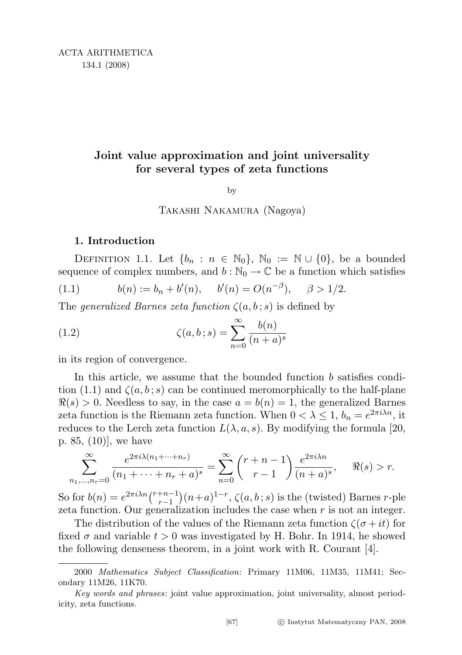# Joint value approximation and joint universality for several types of zeta functions

by

Takashi Nakamura (Nagoya)

# 1. Introduction

DEFINITION 1.1. Let  $\{b_n : n \in \mathbb{N}_0\}$ ,  $\mathbb{N}_0 := \mathbb{N} \cup \{0\}$ , be a bounded sequence of complex numbers, and  $b : \mathbb{N}_0 \to \mathbb{C}$  be a function which satisfies

(1.1) 
$$
b(n) := b_n + b'(n), \quad b'(n) = O(n^{-\beta}), \quad \beta > 1/2.
$$

The generalized Barnes zeta function  $\zeta(a, b; s)$  is defined by

(1.2) 
$$
\zeta(a, b; s) = \sum_{n=0}^{\infty} \frac{b(n)}{(n+a)^s}
$$

in its region of convergence.

In this article, we assume that the bounded function  $b$  satisfies condition (1.1) and  $\zeta(a, b; s)$  can be continued meromorphically to the half-plane  $\Re(s) > 0$ . Needless to say, in the case  $a = b(n) = 1$ , the generalized Barnes zeta function is the Riemann zeta function. When  $0 < \lambda \leq 1$ ,  $b_n = e^{2\pi i \lambda n}$ , it reduces to the Lerch zeta function  $L(\lambda, a, s)$ . By modifying the formula [20, p. 85, (10)], we have

$$
\sum_{n_1,\dots,n_r=0}^{\infty} \frac{e^{2\pi i \lambda (n_1 + \dots + n_r)}}{(n_1 + \dots + n_r + a)^s} = \sum_{n=0}^{\infty} {r+n-1 \choose r-1} \frac{e^{2\pi i \lambda n}}{(n+a)^s}, \quad \Re(s) > r.
$$

So for  $b(n) = e^{2\pi i \lambda n} {r+n-1 \choose r-1}$  $\binom{m+n-1}{r-1}(n+a)^{1-r}, \zeta(a,b\,;s)$  is the (twisted) Barnes *r*-ple zeta function. Our generalization includes the case when  $r$  is not an integer.

The distribution of the values of the Riemann zeta function  $\zeta(\sigma + it)$  for fixed  $\sigma$  and variable  $t > 0$  was investigated by H. Bohr. In 1914, he showed the following denseness theorem, in a joint work with R. Courant [4].

<sup>2000</sup> Mathematics Subject Classification: Primary 11M06, 11M35, 11M41; Secondary 11M26, 11K70.

Key words and phrases: joint value approximation, joint universality, almost periodicity, zeta functions.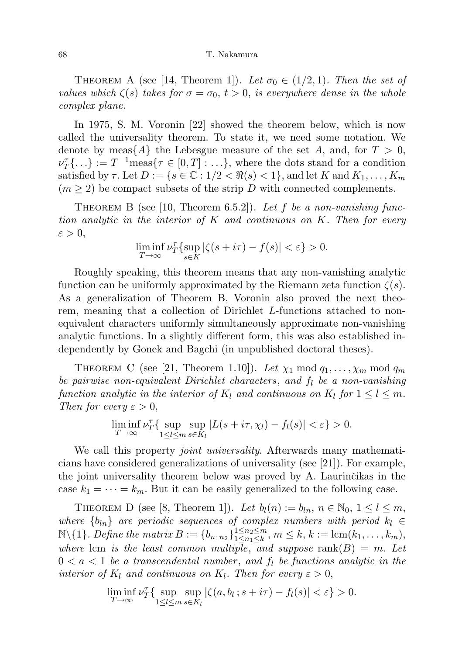THEOREM A (see [14, Theorem 1]). Let  $\sigma_0 \in (1/2, 1)$ . Then the set of values which  $\zeta(s)$  takes for  $\sigma = \sigma_0, t > 0$ , is everywhere dense in the whole complex plane.

In 1975, S. M. Voronin [22] showed the theorem below, which is now called the universality theorem. To state it, we need some notation. We denote by meas $\{A\}$  the Lebesgue measure of the set A, and, for  $T > 0$ ,  $\nu_T^{\tau} \{ \ldots \} := T^{-1} \text{meas}\{\tau \in [0, T] : \ldots \},\$  where the dots stand for a condition satisfied by  $\tau$ . Let  $D := \{s \in \mathbb{C} : 1/2 < \Re(s) < 1\}$ , and let K and  $K_1, \ldots, K_m$  $(m \geq 2)$  be compact subsets of the strip D with connected complements.

THEOREM B (see [10, Theorem 6.5.2]). Let f be a non-vanishing function analytic in the interior of  $K$  and continuous on  $K$ . Then for every  $\varepsilon > 0,$ 

$$
\liminf_{T \to \infty} \nu_T^{\tau} \{ \sup_{s \in K} |\zeta(s + i\tau) - f(s)| < \varepsilon \} > 0.
$$

Roughly speaking, this theorem means that any non-vanishing analytic function can be uniformly approximated by the Riemann zeta function  $\zeta(s)$ . As a generalization of Theorem B, Voronin also proved the next theorem, meaning that a collection of Dirichlet L-functions attached to nonequivalent characters uniformly simultaneously approximate non-vanishing analytic functions. In a slightly different form, this was also established independently by Gonek and Bagchi (in unpublished doctoral theses).

THEOREM C (see [21, Theorem 1.10]). Let  $\chi_1 \mod q_1, \ldots, \chi_m \mod q_m$ be pairwise non-equivalent Dirichlet characters, and  $f_l$  be a non-vanishing function analytic in the interior of  $K_l$  and continuous on  $K_l$  for  $1 \leq l \leq m$ . Then for every  $\varepsilon > 0$ ,

$$
\liminf_{T \to \infty} \nu_T^{\tau} \{ \sup_{1 \le l \le m} \sup_{s \in K_l} |L(s + i\tau, \chi_l) - f_l(s)| < \varepsilon \} > 0.
$$

We call this property *joint universality*. Afterwards many mathematicians have considered generalizations of universality (see [21]). For example, the joint universality theorem below was proved by A. Laurinčikas in the case  $k_1 = \cdots = k_m$ . But it can be easily generalized to the following case.

THEOREM D (see [8, Theorem 1]). Let  $b_l(n) := b_{ln}, n \in \mathbb{N}_0, 1 \leq l \leq m$ , where  $\{b_{ln}\}\$  are periodic sequences of complex numbers with period  $k_l \in$  $\mathbb{N}\setminus\{1\}$ . Define the matrix  $B := \{b_{n_1 n_2}\}_{1 \leq n_1 \leq k}^{1 \leq n_2 \leq m}$  $\prod_{1\leq n_1\leq k}^{1\leq n_2\leq m}, m\leq k, k:=\text{lcm}(k_1,\ldots,k_m),$ where lcm is the least common multiple, and suppose  $rank(B) = m$ . Let  $0 < a < 1$  be a transcendental number, and  $f_l$  be functions analytic in the interior of  $K_l$  and continuous on  $K_l$ . Then for every  $\varepsilon > 0$ ,

$$
\liminf_{T \to \infty} \nu_T^{\tau} \{ \sup_{1 \le l \le m} \sup_{s \in K_l} |\zeta(a, b_l; s + i\tau) - f_l(s)| < \varepsilon \} > 0.
$$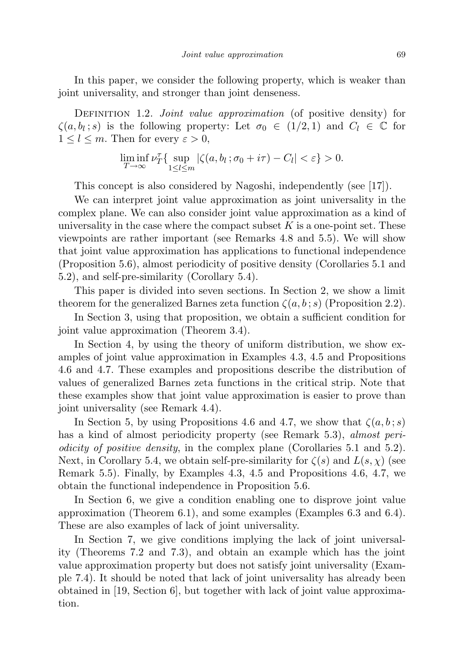In this paper, we consider the following property, which is weaker than joint universality, and stronger than joint denseness.

DEFINITION 1.2. *Joint value approximation* (of positive density) for  $\zeta(a, b_l; s)$  is the following property: Let  $\sigma_0 \in (1/2, 1)$  and  $C_l \in \mathbb{C}$  for  $1 \leq l \leq m$ . Then for every  $\varepsilon > 0$ ,

$$
\liminf_{T\to\infty}\nu_T^\tau\{\sup_{1\leq l\leq m}|\zeta(a,b_l\,;\sigma_0+i\tau)-C_l|<\varepsilon\}>0.
$$

This concept is also considered by Nagoshi, independently (see [17]).

We can interpret joint value approximation as joint universality in the complex plane. We can also consider joint value approximation as a kind of universality in the case where the compact subset  $K$  is a one-point set. These viewpoints are rather important (see Remarks 4.8 and 5.5). We will show that joint value approximation has applications to functional independence (Proposition 5.6), almost periodicity of positive density (Corollaries 5.1 and 5.2), and self-pre-similarity (Corollary 5.4).

This paper is divided into seven sections. In Section 2, we show a limit theorem for the generalized Barnes zeta function  $\zeta(a, b; s)$  (Proposition 2.2).

In Section 3, using that proposition, we obtain a sufficient condition for joint value approximation (Theorem 3.4).

In Section 4, by using the theory of uniform distribution, we show examples of joint value approximation in Examples 4.3, 4.5 and Propositions 4.6 and 4.7. These examples and propositions describe the distribution of values of generalized Barnes zeta functions in the critical strip. Note that these examples show that joint value approximation is easier to prove than joint universality (see Remark 4.4).

In Section 5, by using Propositions 4.6 and 4.7, we show that  $\zeta(a, b; s)$ has a kind of almost periodicity property (see Remark 5.3), *almost peri*odicity of positive density, in the complex plane (Corollaries 5.1 and 5.2). Next, in Corollary 5.4, we obtain self-pre-similarity for  $\zeta(s)$  and  $L(s, \chi)$  (see Remark 5.5). Finally, by Examples 4.3, 4.5 and Propositions 4.6, 4.7, we obtain the functional independence in Proposition 5.6.

In Section 6, we give a condition enabling one to disprove joint value approximation (Theorem 6.1), and some examples (Examples 6.3 and 6.4). These are also examples of lack of joint universality.

In Section 7, we give conditions implying the lack of joint universality (Theorems 7.2 and 7.3), and obtain an example which has the joint value approximation property but does not satisfy joint universality (Example 7.4). It should be noted that lack of joint universality has already been obtained in [19, Section 6], but together with lack of joint value approximation.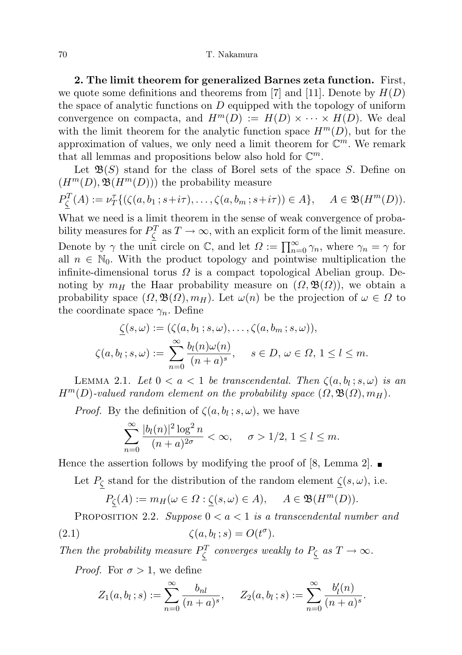2. The limit theorem for generalized Barnes zeta function. First, we quote some definitions and theorems from [7] and [11]. Denote by  $H(D)$ the space of analytic functions on  $D$  equipped with the topology of uniform convergence on compacta, and  $H^m(D) := H(D) \times \cdots \times H(D)$ . We deal with the limit theorem for the analytic function space  $H^m(D)$ , but for the approximation of values, we only need a limit theorem for  $\mathbb{C}^m$ . We remark that all lemmas and propositions below also hold for  $\mathbb{C}^m$ .

Let  $\mathfrak{B}(S)$  stand for the class of Borel sets of the space S. Define on  $(H^m(D), \mathfrak{B}(H^m(D)))$  the probability measure

$$
P_{\underline{\zeta}}^T(A) := \nu_T^{\tau}\{ (\zeta(a, b_1; s+i\tau), \dots, \zeta(a, b_m; s+i\tau)) \in A \}, \quad A \in \mathfrak{B}(H^m(D)).
$$

What we need is a limit theorem in the sense of weak convergence of probability measures for  $P_{\zeta}^{T}$  as  $T \to \infty$ , with an explicit form of the limit measure. Denote by  $\gamma$  the unit circle on  $\mathbb{C}$ , and let  $\Omega := \prod_{n=0}^{\infty} \gamma_n$ , where  $\gamma_n = \gamma$  for all  $n \in \mathbb{N}_0$ . With the product topology and pointwise multiplication the infinite-dimensional torus  $\Omega$  is a compact topological Abelian group. Denoting by  $m_H$  the Haar probability measure on  $(\Omega, \mathfrak{B}(\Omega))$ , we obtain a probability space  $(\Omega, \mathfrak{B}(\Omega), m_H)$ . Let  $\omega(n)$  be the projection of  $\omega \in \Omega$  to the coordinate space  $\gamma_n$ . Define

$$
\underline{\zeta}(s,\omega) := (\zeta(a,b_1;s,\omega), \dots, \zeta(a,b_m;s,\omega)),
$$
  

$$
\zeta(a,b_l;s,\omega) := \sum_{n=0}^{\infty} \frac{b_l(n)\omega(n)}{(n+a)^s}, \quad s \in D, \omega \in \Omega, 1 \le l \le m.
$$

LEMMA 2.1. Let  $0 < a < 1$  be transcendental. Then  $\zeta(a, b_l; s, \omega)$  is an  $H^m(D)$ -valued random element on the probability space  $(\Omega, \mathfrak{B}(\Omega), m_H)$ .

*Proof.* By the definition of  $\zeta(a, b_l; s, \omega)$ , we have

$$
\sum_{n=0}^\infty \frac{|b_l(n)|^2\log^2 n}{(n+a)^{2\sigma}} < \infty, \quad \sigma > 1/2, \, 1 \leq l \leq m.
$$

Hence the assertion follows by modifying the proof of [8, Lemma 2].  $\blacksquare$ 

Let  $P_{\zeta}$  stand for the distribution of the random element  $\zeta(s,\omega)$ , i.e.

$$
P_{\underline{\zeta}}(A) := m_H(\omega \in \Omega : \underline{\zeta}(s, \omega) \in A), \quad A \in \mathfrak{B}(H^m(D)).
$$

PROPOSITION 2.2. Suppose  $0 < a < 1$  is a transcendental number and (2.1)  $\zeta(a, b_l; s) = O(t^{\sigma}).$ 

Then the probability measure  $P_{\zeta}^{T}$  converges weakly to  $P_{\zeta}$  as  $T \to \infty$ .

*Proof.* For  $\sigma > 1$ , we define

$$
Z_1(a, b_l; s) := \sum_{n=0}^{\infty} \frac{b_{nl}}{(n+a)^s}, \quad Z_2(a, b_l; s) := \sum_{n=0}^{\infty} \frac{b'_l(n)}{(n+a)^s}.
$$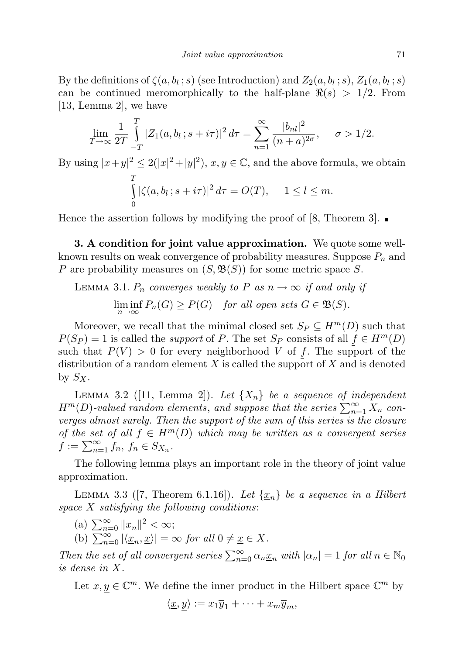By the definitions of  $\zeta(a, b_l; s)$  (see Introduction) and  $Z_2(a, b_l; s)$ ,  $Z_1(a, b_l; s)$ can be continued meromorphically to the half-plane  $\Re(s) > 1/2$ . From [13, Lemma 2], we have

$$
\lim_{T \to \infty} \frac{1}{2T} \int_{-T}^{T} |Z_1(a, b_l; s + i\tau)|^2 d\tau = \sum_{n=1}^{\infty} \frac{|b_{nl}|^2}{(n+a)^{2\sigma}}, \quad \sigma > 1/2.
$$

By using  $|x+y|^2 \leq 2(|x|^2+|y|^2)$ ,  $x, y \in \mathbb{C}$ , and the above formula, we obtain T

$$
\int_{0}^{1} |\zeta(a, b_l; s + i\tau)|^2 d\tau = O(T), \quad 1 \leq l \leq m.
$$

Hence the assertion follows by modifying the proof of [8, Theorem 3].  $\blacksquare$ 

3. A condition for joint value approximation. We quote some wellknown results on weak convergence of probability measures. Suppose  $P_n$  and P are probability measures on  $(S, \mathfrak{B}(S))$  for some metric space S.

LEMMA 3.1.  $P_n$  converges weakly to P as  $n \to \infty$  if and only if  $\liminf_{n\to\infty} P_n(G) \geq P(G)$  for all open sets  $G \in \mathfrak{B}(S)$ .

Moreover, we recall that the minimal closed set  $S_P \subseteq H^m(D)$  such that  $P(S_P) = 1$  is called the *support* of P. The set  $S_P$  consists of all  $f \in H^m(D)$ such that  $P(V) > 0$  for every neighborhood V of f. The support of the distribution of a random element  $X$  is called the support of  $X$  and is denoted by  $S_X$ .

LEMMA 3.2 ([11, Lemma 2]). Let  $\{X_n\}$  be a sequence of independent  $H^m(D)$ -valued random elements, and suppose that the series  $\sum_{n=1}^{\infty} X_n$  converges almost surely. Then the support of the sum of this series is the closure of the set of all  $f \in H^m(D)$  which may be written as a convergent series  $\underline{f} := \sum_{n=1}^{\infty} \underline{f}_n, \, \underline{f}_n \in S_{X_n}.$ 

The following lemma plays an important role in the theory of joint value approximation.

LEMMA 3.3 ([7, Theorem 6.1.16]). Let  $\{\underline{x}_n\}$  be a sequence in a Hilbert space  $X$  satisfying the following conditions:

- (a)  $\sum_{n=0}^{\infty} ||\underline{x}_n||^2 < \infty;$
- (b)  $\sum_{n=0}^{\infty} |\langle \underline{x}_n, \underline{x} \rangle| = \infty$  for all  $0 \neq \underline{x} \in X$ .

Then the set of all convergent series  $\sum_{n=0}^{\infty} \alpha_n \underline{x}_n$  with  $|\alpha_n| = 1$  for all  $n \in \mathbb{N}_0$ is dense in X.

Let  $\underline{x}, y \in \mathbb{C}^m$ . We define the inner product in the Hilbert space  $\mathbb{C}^m$  by  $\langle \underline{x}, y \rangle := x_1 \overline{y}_1 + \cdots + x_m \overline{y}_m,$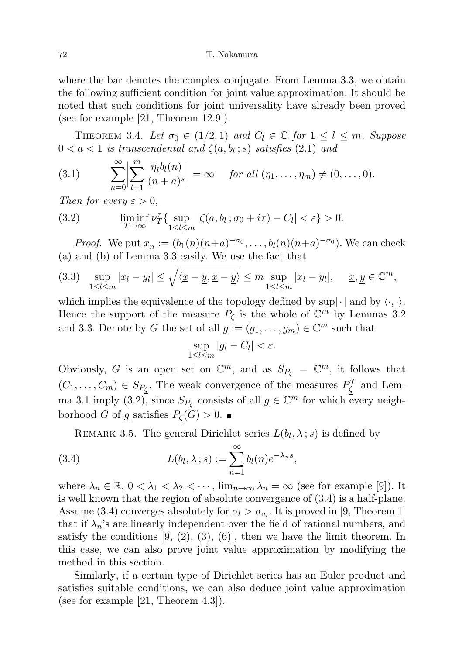where the bar denotes the complex conjugate. From Lemma 3.3, we obtain the following sufficient condition for joint value approximation. It should be noted that such conditions for joint universality have already been proved (see for example [21, Theorem 12.9]).

THEOREM 3.4. Let  $\sigma_0 \in (1/2, 1)$  and  $C_l \in \mathbb{C}$  for  $1 \leq l \leq m$ . Suppose  $0 < a < 1$  is transcendental and  $\zeta(a, b_l; s)$  satisfies  $(2.1)$  and

(3.1) 
$$
\sum_{n=0}^{\infty} \left| \sum_{l=1}^{m} \frac{\overline{\eta}_l b_l(n)}{(n+a)^s} \right| = \infty \quad \text{for all } (\eta_1, \dots, \eta_m) \neq (0, \dots, 0).
$$

Then for every  $\varepsilon > 0$ ,

(3.2) 
$$
\liminf_{T \to \infty} \nu_T^{\tau} \{ \sup_{1 \le l \le m} |\zeta(a, b_l; \sigma_0 + i\tau) - C_l| < \varepsilon \} > 0.
$$

*Proof.* We put  $\underline{x}_n := (b_1(n)(n+a)^{-\sigma_0}, \ldots, b_l(n)(n+a)^{-\sigma_0})$ . We can check (a) and (b) of Lemma 3.3 easily. We use the fact that

$$
(3.3) \quad \sup_{1 \leq l \leq m} |x_l - y_l| \leq \sqrt{\langle \underline{x} - \underline{y}, \underline{x} - \underline{y} \rangle} \leq m \sup_{1 \leq l \leq m} |x_l - y_l|, \quad \underline{x}, \underline{y} \in \mathbb{C}^m,
$$

which implies the equivalence of the topology defined by sup $|\cdot|$  and by  $\langle \cdot, \cdot \rangle$ . Hence the support of the measure  $P_{\zeta}$  is the whole of  $\mathbb{C}^m$  by Lemmas 3.2 and 3.3. Denote by G the set of all  $g := (g_1, \ldots, g_m) \in \mathbb{C}^m$  such that

$$
\sup_{1 \leq l \leq m} |g_l - C_l| < \varepsilon.
$$

Obviously, G is an open set on  $\mathbb{C}^m$ , and as  $S_{P_{\zeta}} = \mathbb{C}^m$ , it follows that  $(C_1, \ldots, C_m) \in S_{P_{\zeta}}$ . The weak convergence of the measures  $P_{\zeta}^T$  and Lemma 3.1 imply (3.2), since  $S_{P_{\zeta}}$  consists of all  $g \in \mathbb{C}^m$  for which every neighborhood G of g satisfies  $P_{\zeta}(G) > 0$ .

REMARK 3.5. The general Dirichlet series  $L(b_l, \lambda; s)$  is defined by

(3.4) 
$$
L(b_l, \lambda; s) := \sum_{n=1}^{\infty} b_l(n) e^{-\lambda_n s},
$$

where  $\lambda_n \in \mathbb{R}, 0 < \lambda_1 < \lambda_2 < \cdots$ ,  $\lim_{n \to \infty} \lambda_n = \infty$  (see for example [9]). It is well known that the region of absolute convergence of (3.4) is a half-plane. Assume (3.4) converges absolutely for  $\sigma_l > \sigma_{a_l}$ . It is proved in [9, Theorem 1] that if  $\lambda_n$ 's are linearly independent over the field of rational numbers, and satisfy the conditions  $[9, (2), (3), (6)]$ , then we have the limit theorem. In this case, we can also prove joint value approximation by modifying the method in this section.

Similarly, if a certain type of Dirichlet series has an Euler product and satisfies suitable conditions, we can also deduce joint value approximation (see for example [21, Theorem 4.3]).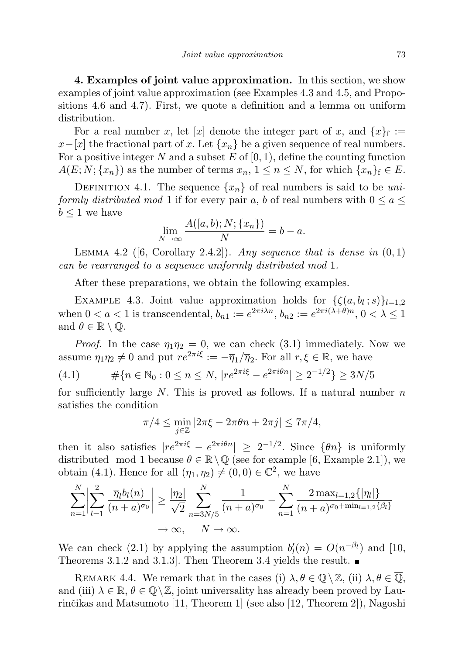4. Examples of joint value approximation. In this section, we show examples of joint value approximation (see Examples 4.3 and 4.5, and Propositions 4.6 and 4.7). First, we quote a definition and a lemma on uniform distribution.

For a real number x, let [x] denote the integer part of x, and  $\{x\}_{f} :=$  $x-[x]$  the fractional part of x. Let  $\{x_n\}$  be a given sequence of real numbers. For a positive integer N and a subset E of  $[0, 1)$ , define the counting function  $A(E; N; \{x_n\})$  as the number of terms  $x_n, 1 \leq n \leq N$ , for which  $\{x_n\}\in E$ .

DEFINITION 4.1. The sequence  $\{x_n\}$  of real numbers is said to be uniformly distributed mod 1 if for every pair a, b of real numbers with  $0 \le a \le$  $b \leq 1$  we have

$$
\lim_{N \to \infty} \frac{A([a,b);N;\{x_n\})}{N} = b - a.
$$

LEMMA 4.2 ([6, Corollary 2.4.2]). Any sequence that is dense in  $(0, 1)$ can be rearranged to a sequence uniformly distributed mod 1.

After these preparations, we obtain the following examples.

EXAMPLE 4.3. Joint value approximation holds for  $\{\zeta(a, b_l; s)\}_{l=1,2}$ when  $0 < a < 1$  is transcendental,  $b_{n1} := e^{2\pi i \lambda n}, b_{n2} := e^{2\pi i (\lambda + \theta)n}, 0 < \lambda \le 1$ and  $\theta \in \mathbb{R} \setminus \mathbb{Q}$ .

*Proof.* In the case  $\eta_1 \eta_2 = 0$ , we can check (3.1) immediately. Now we assume  $\eta_1 \eta_2 \neq 0$  and put  $re^{2\pi i \xi} := -\overline{\eta}_1/\overline{\eta}_2$ . For all  $r, \xi \in \mathbb{R}$ , we have

(4.1) 
$$
\# \{ n \in \mathbb{N}_0 : 0 \le n \le N, \ |re^{2\pi i \xi} - e^{2\pi i \theta n}| \ge 2^{-1/2} \} \ge 3N/5
$$

for sufficiently large N. This is proved as follows. If a natural number  $n$ satisfies the condition

$$
\pi/4 \le \min_{j\in\mathbb{Z}} |2\pi\xi - 2\pi\theta n + 2\pi j| \le 7\pi/4,
$$

then it also satisfies  $|re^{2\pi i\xi} - e^{2\pi i\theta n}| \geq 2^{-1/2}$ . Since  $\{\theta n\}$  is uniformly distributed mod 1 because  $\theta \in \mathbb{R} \setminus \mathbb{Q}$  (see for example [6, Example 2.1]), we obtain (4.1). Hence for all  $(\eta_1, \eta_2) \neq (0, 0) \in \mathbb{C}^2$ , we have

$$
\sum_{n=1}^{N} \left| \sum_{l=1}^{2} \frac{\overline{\eta}_{l} b_{l}(n)}{(n+a)^{\sigma_{0}}} \right| \geq \frac{|\eta_{2}|}{\sqrt{2}} \sum_{n=3N/5}^{N} \frac{1}{(n+a)^{\sigma_{0}}} - \sum_{n=1}^{N} \frac{2 \max_{l=1,2} \{|\eta_{l}|\}}{(n+a)^{\sigma_{0} + \min_{l=1,2} \{\beta_{l}\}}}
$$

$$
\to \infty, \quad N \to \infty.
$$

We can check (2.1) by applying the assumption  $b_l'(n) = O(n^{-\beta_l})$  and [10, Theorems 3.1.2 and 3.1.3]. Then Theorem 3.4 yields the result.

REMARK 4.4. We remark that in the cases (i)  $\lambda, \theta \in \mathbb{Q} \setminus \mathbb{Z}$ , (ii)  $\lambda, \theta \in \mathbb{Q}$ , and (iii)  $\lambda \in \mathbb{R}, \theta \in \mathbb{Q}\backslash \mathbb{Z}$ , joint universality has already been proved by Laurinčikas and Matsumoto [11, Theorem 1] (see also [12, Theorem 2]), Nagoshi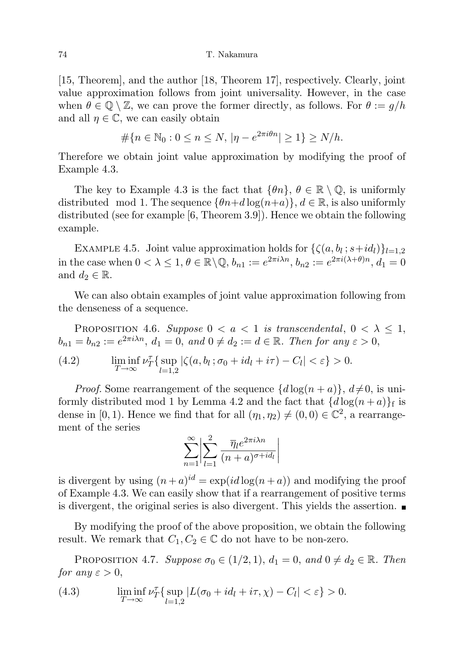[15, Theorem], and the author [18, Theorem 17], respectively. Clearly, joint value approximation follows from joint universality. However, in the case when  $\theta \in \mathbb{Q} \setminus \mathbb{Z}$ , we can prove the former directly, as follows. For  $\theta := g/h$ and all  $\eta \in \mathbb{C}$ , we can easily obtain

$$
\# \{ n \in \mathbb{N}_0 : 0 \le n \le N, \, |\eta - e^{2\pi i \theta n}| \ge 1 \} \ge N/h.
$$

Therefore we obtain joint value approximation by modifying the proof of Example 4.3.

The key to Example 4.3 is the fact that  $\{\theta n\}, \theta \in \mathbb{R} \setminus \mathbb{Q}$ , is uniformly distributed mod 1. The sequence  $\{\theta n+d\log(n+a)\}, d \in \mathbb{R}$ , is also uniformly distributed (see for example [6, Theorem 3.9]). Hence we obtain the following example.

EXAMPLE 4.5. Joint value approximation holds for  $\{\zeta(a, b_l; s+id_l)\}_{l=1,2}$ in the case when  $0 < \lambda \leq 1, \theta \in \mathbb{R} \setminus \mathbb{Q}, b_{n_1} := e^{2\pi i \lambda n}, b_{n_2} := e^{2\pi i (\lambda + \theta)n}, d_1 = 0$ and  $d_2 \in \mathbb{R}$ .

We can also obtain examples of joint value approximation following from the denseness of a sequence.

PROPOSITION 4.6. Suppose  $0 < a < 1$  is transcendental,  $0 < \lambda \leq 1$ ,  $b_{n1} = b_{n2} := e^{2\pi i \lambda n}, d_1 = 0, \text{ and } 0 \neq d_2 := d \in \mathbb{R}.$  Then for any  $\varepsilon > 0$ ,

(4.2) 
$$
\liminf_{T \to \infty} \nu_T^{\tau} \{ \sup_{l=1,2} |\zeta(a, b_l; \sigma_0 + id_l + i\tau) - C_l| < \varepsilon \} > 0.
$$

*Proof.* Some rearrangement of the sequence  $\{d \log(n + a)\}, d \neq 0$ , is uniformly distributed mod 1 by Lemma 4.2 and the fact that  $\{d \log(n+a)\}\$ f is dense in [0, 1). Hence we find that for all  $(\eta_1, \eta_2) \neq (0, 0) \in \mathbb{C}^2$ , a rearrangement of the series

$$
\sum_{n=1}^{\infty} \left| \sum_{l=1}^{2} \frac{\overline{\eta}_{l} e^{2\pi i \lambda n}}{(n+a)^{\sigma + id_{l}}} \right|
$$

is divergent by using  $(n+a)^{id} = \exp(id \log(n+a))$  and modifying the proof of Example 4.3. We can easily show that if a rearrangement of positive terms is divergent, the original series is also divergent. This yields the assertion.

By modifying the proof of the above proposition, we obtain the following result. We remark that  $C_1, C_2 \in \mathbb{C}$  do not have to be non-zero.

PROPOSITION 4.7. Suppose  $\sigma_0 \in (1/2, 1), d_1 = 0, and 0 \neq d_2 \in \mathbb{R}$ . Then for any  $\varepsilon > 0$ ,

(4.3) 
$$
\liminf_{T \to \infty} \nu_T^{\tau} \{ \sup_{l=1,2} |L(\sigma_0 + id_l + i\tau, \chi) - C_l| < \varepsilon \} > 0.
$$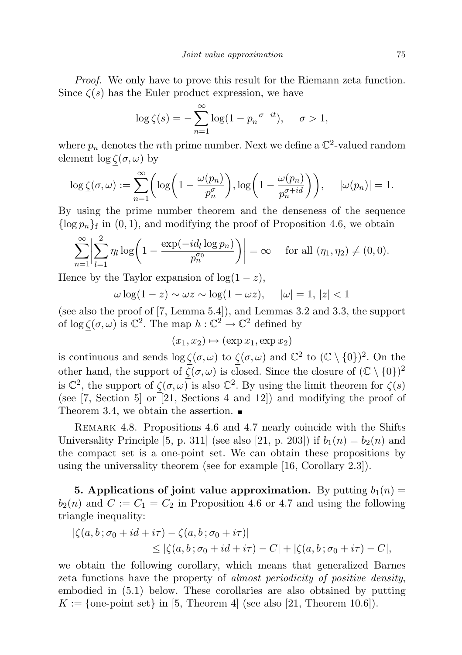Proof. We only have to prove this result for the Riemann zeta function. Since  $\zeta(s)$  has the Euler product expression, we have

$$
\log \zeta(s) = -\sum_{n=1}^{\infty} \log(1 - p_n^{-\sigma - it}), \quad \sigma > 1,
$$

where  $p_n$  denotes the *n*th prime number. Next we define a  $\mathbb{C}^2$ -valued random element $\log \zeta(\sigma, \omega)$  by

$$
\log \underline{\zeta}(\sigma,\omega) := \sum_{n=1}^{\infty} \left( \log \left( 1 - \frac{\omega(p_n)}{p_n^{\sigma}} \right), \log \left( 1 - \frac{\omega(p_n)}{p_n^{\sigma + id}} \right) \right), \quad |\omega(p_n)| = 1.
$$

By using the prime number theorem and the denseness of the sequence  $\{\log p_n\}$  in  $(0, 1)$ , and modifying the proof of Proposition 4.6, we obtain

$$
\sum_{n=1}^{\infty} \left| \sum_{l=1}^{2} \eta_l \log \left( 1 - \frac{\exp(-id_l \log p_n)}{p_n^{\sigma_0}} \right) \right| = \infty \quad \text{ for all } (\eta_1, \eta_2) \neq (0, 0).
$$

Hence by the Taylor expansion of  $log(1-z)$ ,

$$
\omega \log(1 - z) \sim \omega z \sim \log(1 - \omega z), \quad |\omega| = 1, |z| < 1
$$

(see also the proof of [7, Lemma 5.4]), and Lemmas 3.2 and 3.3, the support of  $\log \zeta(\sigma, \omega)$  is  $\mathbb{C}^2$ . The map  $h : \mathbb{C}^2 \to \mathbb{C}^2$  defined by

$$
(x_1, x_2) \mapsto (\exp x_1, \exp x_2)
$$

is continuous and sends  $\log \zeta(\sigma, \omega)$  to  $\zeta(\sigma, \omega)$  and  $\mathbb{C}^2$  to  $(\mathbb{C} \setminus \{0\})^2$ . On the other hand, the support of  $\overline{\zeta}(\sigma,\omega)$  is closed. Since the closure of  $(\mathbb{C} \setminus \{0\})^2$ is  $\mathbb{C}^2$ , the support of  $\zeta(\sigma,\omega)$  is also  $\mathbb{C}^2$ . By using the limit theorem for  $\zeta(s)$ (see [7, Section 5] or [21, Sections 4 and 12]) and modifying the proof of Theorem 3.4, we obtain the assertion.  $\blacksquare$ 

Remark 4.8. Propositions 4.6 and 4.7 nearly coincide with the Shifts Universality Principle [5, p. 311] (see also [21, p. 203]) if  $b_1(n) = b_2(n)$  and the compact set is a one-point set. We can obtain these propositions by using the universality theorem (see for example [16, Corollary 2.3]).

**5. Applications of joint value approximation.** By putting  $b_1(n) =$  $b_2(n)$  and  $C := C_1 = C_2$  in Proposition 4.6 or 4.7 and using the following triangle inequality:

$$
\begin{aligned} |\zeta(a,b;\sigma_0+id+i\tau)-\zeta(a,b;\sigma_0+i\tau)|\\ &\leq |\zeta(a,b;\sigma_0+id+i\tau)-C|+|\zeta(a,b;\sigma_0+i\tau)-C|, \end{aligned}
$$

we obtain the following corollary, which means that generalized Barnes zeta functions have the property of *almost periodicity of positive density*, embodied in (5.1) below. These corollaries are also obtained by putting  $K := \{\text{one-point set}\}\$ in [5, Theorem 4] (see also [21, Theorem 10.6]).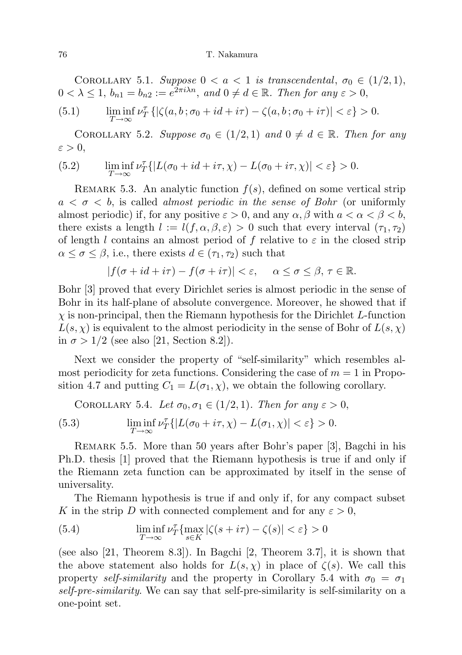COROLLARY 5.1. Suppose  $0 < a < 1$  is transcendental,  $\sigma_0 \in (1/2, 1)$ ,  $0 < \lambda \leq 1, b_{n1} = b_{n2} := e^{2\pi i \lambda n}, \text{ and } 0 \neq d \in \mathbb{R}.$  Then for any  $\varepsilon > 0$ ,

(5.1) 
$$
\liminf_{T \to \infty} \nu_T^{\tau} \left\{ |\zeta(a, b; \sigma_0 + id + i\tau) - \zeta(a, b; \sigma_0 + i\tau) | < \varepsilon \right\} > 0.
$$

COROLLARY 5.2. Suppose  $\sigma_0 \in (1/2, 1)$  and  $0 \neq d \in \mathbb{R}$ . Then for any  $\varepsilon > 0$ ,

(5.2) 
$$
\liminf_{T \to \infty} \nu_T^{\tau} \{|L(\sigma_0 + id + i\tau, \chi) - L(\sigma_0 + i\tau, \chi)| < \varepsilon\} > 0.
$$

REMARK 5.3. An analytic function  $f(s)$ , defined on some vertical strip  $a < \sigma < b$ , is called *almost periodic in the sense of Bohr* (or uniformly almost periodic) if, for any positive  $\varepsilon > 0$ , and any  $\alpha, \beta$  with  $a < \alpha < \beta < b$ , there exists a length  $l := l(f, \alpha, \beta, \varepsilon) > 0$  such that every interval  $(\tau_1, \tau_2)$ of length l contains an almost period of f relative to  $\varepsilon$  in the closed strip  $\alpha \leq \sigma \leq \beta$ , i.e., there exists  $d \in (\tau_1, \tau_2)$  such that

$$
|f(\sigma + id + i\tau) - f(\sigma + i\tau)| < \varepsilon, \quad \alpha \le \sigma \le \beta, \tau \in \mathbb{R}.
$$

Bohr [3] proved that every Dirichlet series is almost periodic in the sense of Bohr in its half-plane of absolute convergence. Moreover, he showed that if  $\chi$  is non-principal, then the Riemann hypothesis for the Dirichlet L-function  $L(s, \chi)$  is equivalent to the almost periodicity in the sense of Bohr of  $L(s, \chi)$ in  $\sigma > 1/2$  (see also [21, Section 8.2]).

Next we consider the property of "self-similarity" which resembles almost periodicity for zeta functions. Considering the case of  $m = 1$  in Proposition 4.7 and putting  $C_1 = L(\sigma_1, \chi)$ , we obtain the following corollary.

COROLLARY 5.4. Let 
$$
\sigma_0, \sigma_1 \in (1/2, 1)
$$
. Then for any  $\varepsilon > 0$ ,

(5.3) 
$$
\liminf_{T \to \infty} \nu_T^{\tau} \{ |L(\sigma_0 + i\tau, \chi) - L(\sigma_1, \chi)| < \varepsilon \} > 0.
$$

Remark 5.5. More than 50 years after Bohr's paper [3], Bagchi in his Ph.D. thesis [1] proved that the Riemann hypothesis is true if and only if the Riemann zeta function can be approximated by itself in the sense of universality.

The Riemann hypothesis is true if and only if, for any compact subset K in the strip D with connected complement and for any  $\varepsilon > 0$ ,

(5.4) 
$$
\liminf_{T \to \infty} \nu_T^{\tau} \{ \max_{s \in K} |\zeta(s + i\tau) - \zeta(s)| < \varepsilon \} > 0
$$

(see also [21, Theorem 8.3]). In Bagchi [2, Theorem 3.7], it is shown that the above statement also holds for  $L(s, \chi)$  in place of  $\zeta(s)$ . We call this property self-similarity and the property in Corollary 5.4 with  $\sigma_0 = \sigma_1$ self-pre-similarity. We can say that self-pre-similarity is self-similarity on a one-point set.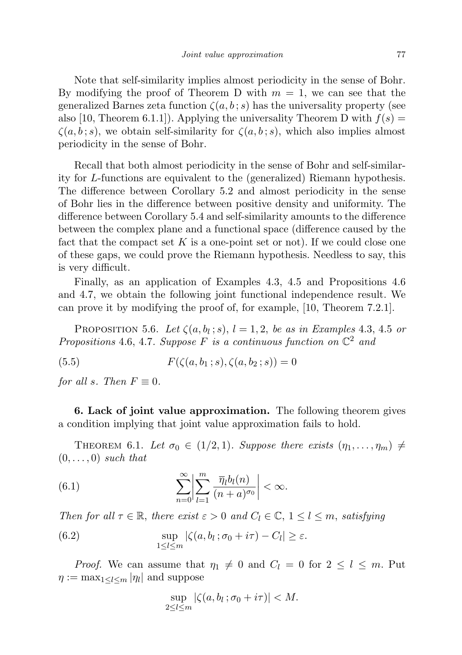Note that self-similarity implies almost periodicity in the sense of Bohr. By modifying the proof of Theorem D with  $m = 1$ , we can see that the generalized Barnes zeta function  $\zeta(a, b; s)$  has the universality property (see also [10, Theorem 6.1.1]). Applying the universality Theorem D with  $f(s)$  =  $\zeta(a, b; s)$ , we obtain self-similarity for  $\zeta(a, b; s)$ , which also implies almost periodicity in the sense of Bohr.

Recall that both almost periodicity in the sense of Bohr and self-similarity for L-functions are equivalent to the (generalized) Riemann hypothesis. The difference between Corollary 5.2 and almost periodicity in the sense of Bohr lies in the difference between positive density and uniformity. The difference between Corollary 5.4 and self-similarity amounts to the difference between the complex plane and a functional space (difference caused by the fact that the compact set  $K$  is a one-point set or not). If we could close one of these gaps, we could prove the Riemann hypothesis. Needless to say, this is very difficult.

Finally, as an application of Examples 4.3, 4.5 and Propositions 4.6 and 4.7, we obtain the following joint functional independence result. We can prove it by modifying the proof of, for example, [10, Theorem 7.2.1].

PROPOSITION 5.6. Let  $\zeta(a, b_l; s)$ ,  $l = 1, 2$ , be as in Examples 4.3, 4.5 or Propositions 4.6, 4.7. Suppose F is a continuous function on  $\mathbb{C}^2$  and

(5.5)  $F(\zeta(a, b_1 ; s), \zeta(a, b_2 ; s)) = 0$ 

for all s. Then  $F \equiv 0$ .

6. Lack of joint value approximation. The following theorem gives a condition implying that joint value approximation fails to hold.

THEOREM 6.1. Let  $\sigma_0 \in (1/2, 1)$ . Suppose there exists  $(\eta_1, \ldots, \eta_m) \neq$  $(0, \ldots, 0)$  such that

(6.1) 
$$
\sum_{n=0}^{\infty} \left| \sum_{l=1}^{m} \frac{\overline{\eta}_l b_l(n)}{(n+a)^{\sigma_0}} \right| < \infty.
$$

Then for all  $\tau \in \mathbb{R}$ , there exist  $\varepsilon > 0$  and  $C_l \in \mathbb{C}$ ,  $1 \leq l \leq m$ , satisfying

(6.2) 
$$
\sup_{1 \leq l \leq m} |\zeta(a, b_l; \sigma_0 + i\tau) - C_l| \geq \varepsilon.
$$

*Proof.* We can assume that  $\eta_1 \neq 0$  and  $C_l = 0$  for  $2 \leq l \leq m$ . Put  $\eta := \max_{1 \leq l \leq m} |\eta_l|$  and suppose

$$
\sup_{2\leq l\leq m} |\zeta(a,b_l;\sigma_0+i\tau)| < M.
$$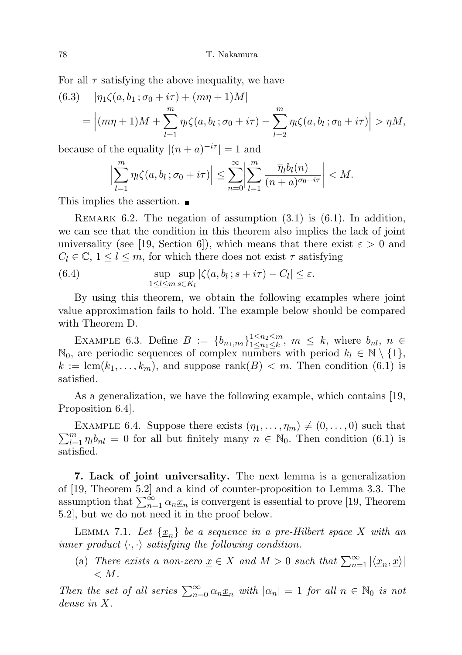For all  $\tau$  satisfying the above inequality, we have

(6.3) 
$$
|\eta_1 \zeta(a, b_1; \sigma_0 + i\tau) + (m\eta + 1)M|
$$
  
= 
$$
| (m\eta + 1)M + \sum_{l=1}^m \eta_l \zeta(a, b_l; \sigma_0 + i\tau) - \sum_{l=2}^m \eta_l \zeta(a, b_l; \sigma_0 + i\tau) | > \eta M,
$$

because of the equality  $|(n + a)^{-i\tau}| = 1$  and

$$
\sum_{l=1}^m \eta_l \zeta(a, b_l; \sigma_0 + i\tau) \Big| \leq \sum_{n=0}^\infty \Big| \sum_{l=1}^m \frac{\overline{\eta_l} b_l(n)}{(n+a)^{\sigma_0 + i\tau}} \Big| < M.
$$

This implies the assertion.

 $\overline{\phantom{a}}$  $\overline{\phantom{a}}$  $\mid$ 

REMARK 6.2. The negation of assumption  $(3.1)$  is  $(6.1)$ . In addition, we can see that the condition in this theorem also implies the lack of joint universality (see [19, Section 6]), which means that there exist  $\varepsilon > 0$  and  $C_l \in \mathbb{C}, 1 \leq l \leq m$ , for which there does not exist  $\tau$  satisfying

(6.4) 
$$
\sup_{1 \leq l \leq m} \sup_{s \in K_l} |\zeta(a, b_l; s + i\tau) - C_l| \leq \varepsilon.
$$

By using this theorem, we obtain the following examples where joint value approximation fails to hold. The example below should be compared with Theorem D.

EXAMPLE 6.3. Define  $B := \{b_{n_1,n_2}\}_{1 \leq n_1 \leq k}^{1 \leq n_2 \leq m}$  $\sum_{1\leq n_1\leq k}^{1\leq n_2\leq m}$ ,  $m \leq k$ , where  $b_{nl}$ ,  $n \in$  $\mathbb{N}_0$ , are periodic sequences of complex numbers with period  $k_l \in \mathbb{N} \setminus \{1\}$ ,  $k := \text{lcm}(k_1, \ldots, k_m)$ , and suppose rank $(B) < m$ . Then condition  $(6.1)$  is satisfied.

As a generalization, we have the following example, which contains [19, Proposition 6.4].

 $\sum_{l=1}^{m} \overline{\eta}_l b_{nl} = 0$  for all but finitely many  $n \in \mathbb{N}_0$ . Then condition (6.1) is EXAMPLE 6.4. Suppose there exists  $(\eta_1, \ldots, \eta_m) \neq (0, \ldots, 0)$  such that satisfied.

7. Lack of joint universality. The next lemma is a generalization of [19, Theorem 5.2] and a kind of counter-proposition to Lemma 3.3. The assumption that  $\sum_{n=1}^{\infty} \alpha_n \underline{x}_n$  is convergent is essential to prove [19, Theorem 5.2], but we do not need it in the proof below.

LEMMA 7.1. Let  $\{\underline{x}_n\}$  be a sequence in a pre-Hilbert space X with an inner product  $\langle \cdot, \cdot \rangle$  satisfying the following condition.

(a) There exists a non-zero  $\underline{x} \in X$  and  $M > 0$  such that  $\sum_{n=1}^{\infty} |\langle \underline{x}_n, \underline{x} \rangle|$  $\langle M.$ 

Then the set of all series  $\sum_{n=0}^{\infty} \alpha_n x_n$  with  $|\alpha_n| = 1$  for all  $n \in \mathbb{N}_0$  is not dense in X.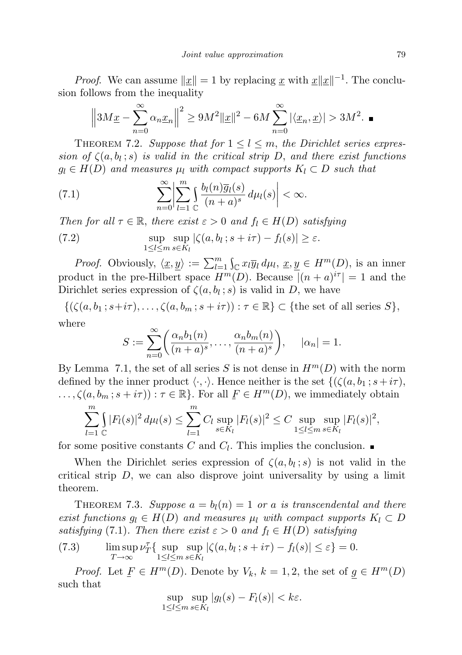*Proof.* We can assume  $||\underline{x}|| = 1$  by replacing  $\underline{x}$  with  $\underline{x}||\underline{x}||^{-1}$ . The conclusion follows from the inequality

$$
\left\|3M\underline{x} - \sum_{n=0}^{\infty} \alpha_n \underline{x}_n\right\|^2 \ge 9M^2 \|\underline{x}\|^2 - 6M \sum_{n=0}^{\infty} |\langle \underline{x}_n, \underline{x} \rangle| > 3M^2. \blacksquare
$$

THEOREM 7.2. Suppose that for  $1 \leq l \leq m$ , the Dirichlet series expression of  $\zeta(a, b_l; s)$  is valid in the critical strip D, and there exist functions  $g_l \in H(D)$  and measures  $\mu_l$  with compact supports  $K_l \subset D$  such that

(7.1) 
$$
\sum_{n=0}^{\infty} \left| \sum_{l=1}^{m} \int_{\mathbb{C}} \frac{b_l(n) \overline{g}_l(s)}{(n+a)^s} d\mu_l(s) \right| < \infty.
$$

Then for all  $\tau \in \mathbb{R}$ , there exist  $\varepsilon > 0$  and  $f_l \in H(D)$  satisfying

(7.2) 
$$
\sup_{1 \leq l \leq m} \sup_{s \in K_l} |\zeta(a, b_l; s + i\tau) - f_l(s)| \geq \varepsilon.
$$

*Proof.* Obviously,  $\langle \underline{x}, \underline{y} \rangle := \sum_{l=1}^m \int_{\mathbb{C}} x_l \overline{y}_l d\mu_l, \ \underline{x}, \underline{y} \in H^m(D)$ , is an inner product in the pre-Hilbert space  $H^m(D)$ . Because  $|(n + a)^{i\tau}| = 1$  and the Dirichlet series expression of  $\zeta(a, b_l; s)$  is valid in D, we have

$$
\{(\zeta(a, b_1; s+i\tau), \dots, \zeta(a, b_m; s+i\tau)) : \tau \in \mathbb{R}\} \subset \{\text{the set of all series } S\},\
$$

where

$$
S := \sum_{n=0}^{\infty} \left( \frac{\alpha_n b_1(n)}{(n+a)^s}, \dots, \frac{\alpha_n b_m(n)}{(n+a)^s} \right), \quad |\alpha_n| = 1.
$$

By Lemma 7.1, the set of all series S is not dense in  $H^m(D)$  with the norm defined by the inner product  $\langle \cdot, \cdot \rangle$ . Hence neither is the set  $\{(\zeta(a, b_1; s+i\tau),$  $\ldots, \zeta(a, b_m; s + i\tau)) : \tau \in \mathbb{R}$ . For all  $F \in H^m(D)$ , we immediately obtain

$$
\sum_{l=1}^{m} \int_{\mathbb{C}} |F_l(s)|^2 d\mu_l(s) \leq \sum_{l=1}^{m} C_l \sup_{s \in K_l} |F_l(s)|^2 \leq C \sup_{1 \leq l \leq m} \sup_{s \in K_l} |F_l(s)|^2,
$$

for some positive constants  $C$  and  $C_l$ . This implies the conclusion.

When the Dirichlet series expression of  $\zeta(a, b_i; s)$  is not valid in the critical strip  $D$ , we can also disprove joint universality by using a limit theorem.

THEOREM 7.3. Suppose  $a = b<sub>l</sub>(n) = 1$  or a is transcendental and there exist functions  $g_l \in H(D)$  and measures  $\mu_l$  with compact supports  $K_l \subset D$ satisfying (7.1). Then there exist  $\varepsilon > 0$  and  $f_l \in H(D)$  satisfying

(7.3) 
$$
\limsup_{T \to \infty} \nu_T^{\tau} \{ \sup_{1 \leq l \leq m} \sup_{s \in K_l} |\zeta(a, b_l; s + i\tau) - f_l(s)| \leq \varepsilon \} = 0.
$$

*Proof.* Let  $F \in H^m(D)$ . Denote by  $V_k$ ,  $k = 1, 2$ , the set of  $g \in H^m(D)$ such that

$$
\sup_{1 \leq l \leq m} \sup_{s \in K_l} |g_l(s) - F_l(s)| < k\varepsilon.
$$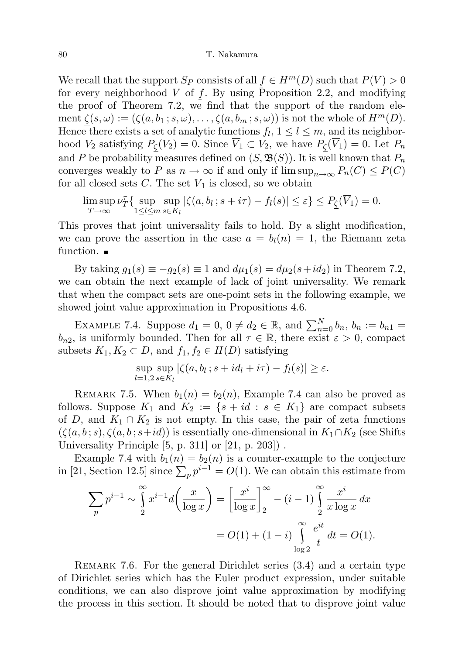We recall that the support  $S_P$  consists of all  $f \in H^m(D)$  such that  $P(V) > 0$ for every neighborhood V of f. By using Proposition 2.2, and modifying the proof of Theorem 7.2, we find that the support of the random element  $\zeta(s,\omega) := (\zeta(a,b_1;s,\omega),\ldots,\zeta(a,b_m;s,\omega))$  is not the whole of  $H^m(D)$ . Hence there exists a set of analytic functions  $f_l$ ,  $1 \leq l \leq m$ , and its neighborhood  $V_2$  satisfying  $P_{\zeta}(V_2) = 0$ . Since  $\overline{V}_1 \subset V_2$ , we have  $P_{\zeta}(\overline{V}_1) = 0$ . Let  $P_n$ and P be probability measures defined on  $(S, \mathfrak{B}(S))$ . It is well known that  $P_n$ converges weakly to P as  $n \to \infty$  if and only if  $\limsup_{n \to \infty} P_n(C) \leq P(C)$ for all closed sets C. The set  $\overline{V}_1$  is closed, so we obtain

$$
\limsup_{T \to \infty} \nu_T^{\tau} \{ \sup_{1 \le l \le m} \sup_{s \in K_l} |\zeta(a, b_l; s + i\tau) - f_l(s)| \le \varepsilon \} \le P_{\underline{\zeta}}(\overline{V}_1) = 0.
$$

This proves that joint universality fails to hold. By a slight modification, we can prove the assertion in the case  $a = b<sub>l</sub>(n) = 1$ , the Riemann zeta function.  $\blacksquare$ 

By taking  $g_1(s) \equiv -g_2(s) \equiv 1$  and  $d\mu_1(s) = d\mu_2(s + id_2)$  in Theorem 7.2, we can obtain the next example of lack of joint universality. We remark that when the compact sets are one-point sets in the following example, we showed joint value approximation in Propositions 4.6.

EXAMPLE 7.4. Suppose  $d_1 = 0, 0 \neq d_2 \in \mathbb{R}$ , and  $\sum_{n=0}^{N} b_n$ ,  $b_n := b_{n1} =$  $b_{n2}$ , is uniformly bounded. Then for all  $\tau \in \mathbb{R}$ , there exist  $\varepsilon > 0$ , compact subsets  $K_1, K_2 \subset D$ , and  $f_1, f_2 \in H(D)$  satisfying

$$
\sup_{l=1,2}\sup_{s\in K_l}|\zeta(a,b_l;s+id_l+i\tau)-f_l(s)|\geq\varepsilon.
$$

REMARK 7.5. When  $b_1(n) = b_2(n)$ , Example 7.4 can also be proved as follows. Suppose  $K_1$  and  $K_2 := \{s + id : s \in K_1\}$  are compact subsets of D, and  $K_1 \cap K_2$  is not empty. In this case, the pair of zeta functions  $(\zeta(a, b; s), \zeta(a, b; s+id))$  is essentially one-dimensional in  $K_1 \cap K_2$  (see Shifts Universality Principle [5, p. 311] or [21, p. 203]) .

Example 7.4 with  $b_1(n) = b_2(n)$  is a counter-example to the conjecture in [21, Section 12.5] since  $\sum_{p} p^{i-1} = O(1)$ . We can obtain this estimate from

$$
\sum_{p} p^{i-1} \sim \int_{2}^{\infty} x^{i-1} d\left(\frac{x}{\log x}\right) = \left[\frac{x^i}{\log x}\right]_{2}^{\infty} - (i-1) \int_{2}^{\infty} \frac{x^i}{x \log x} dx
$$

$$
= O(1) + (1-i) \int_{\log 2}^{\infty} \frac{e^{it}}{t} dt = O(1).
$$

Remark 7.6. For the general Dirichlet series (3.4) and a certain type of Dirichlet series which has the Euler product expression, under suitable conditions, we can also disprove joint value approximation by modifying the process in this section. It should be noted that to disprove joint value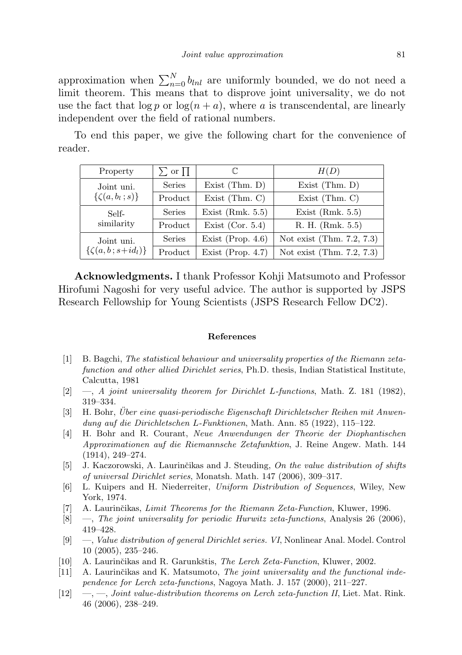approximation when  $\sum_{n=0}^{N} b_{lnl}$  are uniformly bounded, we do not need a limit theorem. This means that to disprove joint universality, we do not use the fact that  $\log p$  or  $\log(n + a)$ , where a is transcendental, are linearly independent over the field of rational numbers.

To end this paper, we give the following chart for the convenience of reader.

| Property                                   | $\sum$ or $\Pi$ |                      | H(D)                      |
|--------------------------------------------|-----------------|----------------------|---------------------------|
| Joint uni.<br>$\{\zeta(a,b_l\ ; s)\}\$     | Series          | Exist $(Thm. D)$     | Exist $(Thm. D)$          |
|                                            | Product         | Exist $(Thm. C)$     | Exist $(Thm. C)$          |
| Self-<br>similarity                        | Series          | Exist $(Rmk. 5.5)$   | Exist $(Rmk. 5.5)$        |
|                                            | Product         | Exist (Cor. $5.4$ )  | R. H. (Rmk. 5.5)          |
| Joint uni.<br>$\{\zeta(a,b\, ; s+id_l)\}\$ | Series          | Exist (Prop. $4.6$ ) | Not exist (Thm. 7.2, 7.3) |
|                                            | Product         | Exist (Prop. $4.7$ ) | Not exist (Thm. 7.2, 7.3) |

Acknowledgments. I thank Professor Kohji Matsumoto and Professor Hirofumi Nagoshi for very useful advice. The author is supported by JSPS Research Fellowship for Young Scientists (JSPS Research Fellow DC2).

## References

- [1] B. Bagchi, The statistical behaviour and universality properties of the Riemann zetafunction and other allied Dirichlet series, Ph.D. thesis, Indian Statistical Institute, Calcutta, 1981
- $[2] \quad -$ , A joint universality theorem for Dirichlet L-functions, Math. Z. 181 (1982), 319–334.
- [3] H. Bohr, Uber eine quasi-periodische Eigenschaft Dirichletscher Reihen mit Anwendung auf die Dirichletschen L-Funktionen, Math. Ann. 85 (1922), 115–122.
- [4] H. Bohr and R. Courant, Neue Anwendungen der Theorie der Diophantischen Approximationen auf die Riemannsche Zetafunktion, J. Reine Angew. Math. 144 (1914), 249–274.
- [5] J. Kaczorowski, A. Laurinčikas and J. Steuding, On the value distribution of shifts of universal Dirichlet series, Monatsh. Math. 147 (2006), 309–317.
- [6] L. Kuipers and H. Niederreiter, Uniform Distribution of Sequences, Wiley, New York, 1974.
- [7] A. Laurinčikas, Limit Theorems for the Riemann Zeta-Function, Kluwer, 1996.
- [8] —, The joint universality for periodic Hurwitz zeta-functions, Analysis 26 (2006), 419–428.
- [9] —, Value distribution of general Dirichlet series. VI, Nonlinear Anal. Model. Control 10 (2005), 235–246.
- [10] A. Laurinčikas and R. Garunkštis, The Lerch Zeta-Function, Kluwer, 2002.
- $[11]$  A. Laurinčikas and K. Matsumoto, The joint universality and the functional independence for Lerch zeta-functions, Nagoya Math. J. 157 (2000), 211–227.
- $[12] \quad -,-$ , Joint value-distribution theorems on Lerch zeta-function II, Liet. Mat. Rink. 46 (2006), 238–249.